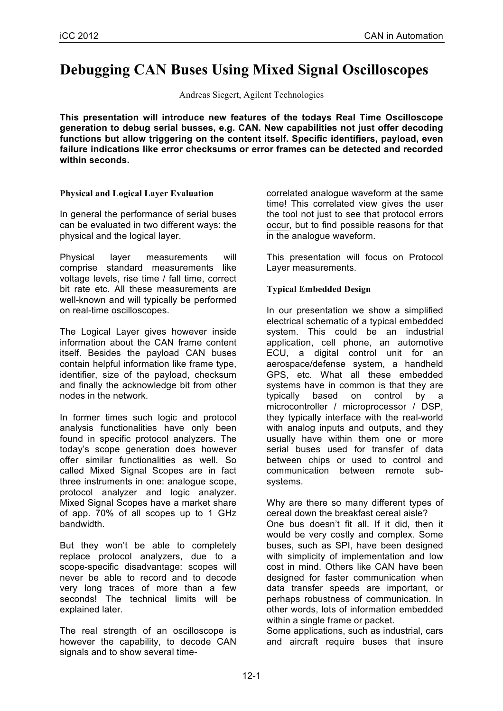# **Debugging CAN Buses Using Mixed Signal Oscilloscopes**

Andreas Siegert, Agilent Technologies

**This presentation will introduce new features of the todays Real Time Oscilloscope generation to debug serial busses, e.g. CAN. New capabilities not just offer decoding functions but allow triggering on the content itself. Specific identifiers, payload, even failure indications like error checksums or error frames can be detected and recorded within seconds.**

## **Physical and Logical Layer Evaluation**

In general the performance of serial buses can be evaluated in two different ways: the physical and the logical layer.

Physical layer measurements will comprise standard measurements like voltage levels, rise time / fall time, correct bit rate etc. All these measurements are well-known and will typically be performed on real-time oscilloscopes.

The Logical Layer gives however inside information about the CAN frame content itself. Besides the payload CAN buses contain helpful information like frame type, identifier, size of the payload, checksum and finally the acknowledge bit from other nodes in the network.

In former times such logic and protocol analysis functionalities have only been found in specific protocol analyzers. The today's scope generation does however offer similar functionalities as well. So called Mixed Signal Scopes are in fact three instruments in one: analogue scope, protocol analyzer and logic analyzer. Mixed Signal Scopes have a market share of app. 70% of all scopes up to 1 GHz bandwidth.

But they won't be able to completely replace protocol analyzers, due to a scope-specific disadvantage: scopes will never be able to record and to decode very long traces of more than a few seconds! The technical limits will be explained later.

The real strength of an oscilloscope is however the capability, to decode CAN signals and to show several timecorrelated analogue waveform at the same time! This correlated view gives the user the tool not just to see that protocol errors occur, but to find possible reasons for that in the analogue waveform.

This presentation will focus on Protocol Layer measurements.

## **Typical Embedded Design**

In our presentation we show a simplified electrical schematic of a typical embedded system. This could be an industrial application, cell phone, an automotive ECU, a digital control unit for an aerospace/defense system, a handheld GPS, etc. What all these embedded systems have in common is that they are typically based on control by a microcontroller / microprocessor / DSP, they typically interface with the real-world with analog inputs and outputs, and they usually have within them one or more serial buses used for transfer of data between chips or used to control and communication between remote subsystems.

Why are there so many different types of cereal down the breakfast cereal aisle?

One bus doesn't fit all. If it did, then it would be very costly and complex. Some buses, such as SPI, have been designed with simplicity of implementation and low cost in mind. Others like CAN have been designed for faster communication when data transfer speeds are important, or perhaps robustness of communication. In other words, lots of information embedded within a single frame or packet.

Some applications, such as industrial, cars and aircraft require buses that insure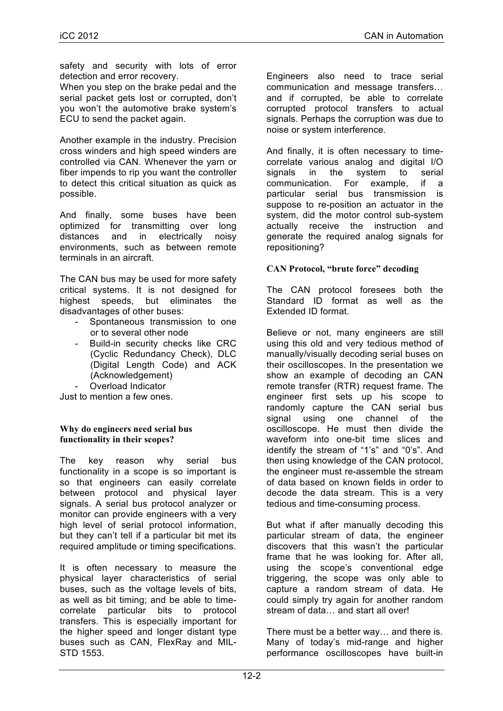safety and security with lots of error detection and error recovery.

When you step on the brake pedal and the serial packet gets lost or corrupted, don't you won't the automotive brake system's ECU to send the packet again.

Another example in the industry. Precision cross winders and high speed winders are controlled via CAN. Whenever the yarn or fiber impends to rip you want the controller to detect this critical situation as quick as possible.

And finally, some buses have been optimized for transmitting over long distances and in electrically noisy environments, such as between remote terminals in an aircraft.

The CAN bus may be used for more safety critical systems. It is not designed for highest speeds, but eliminates the disadvantages of other buses:

- Spontaneous transmission to one or to several other node
- Build-in security checks like CRC (Cyclic Redundancy Check), DLC (Digital Length Code) and ACK (Acknowledgement)
- Overload Indicator

Just to mention a few ones.

#### **Why do engineers need serial bus functionality in their scopes?**

The key reason why serial bus functionality in a scope is so important is so that engineers can easily correlate between protocol and physical layer signals. A serial bus protocol analyzer or monitor can provide engineers with a very high level of serial protocol information, but they can't tell if a particular bit met its required amplitude or timing specifications.

It is often necessary to measure the physical layer characteristics of serial buses, such as the voltage levels of bits, as well as bit timing; and be able to timecorrelate particular bits to protocol transfers. This is especially important for the higher speed and longer distant type buses such as CAN, FlexRay and MIL-STD 1553.

Engineers also need to trace serial communication and message transfers… and if corrupted, be able to correlate corrupted protocol transfers to actual signals. Perhaps the corruption was due to noise or system interference.

And finally, it is often necessary to timecorrelate various analog and digital I/O signals in the system to serial communication. For example, if a particular serial bus transmission is suppose to re-position an actuator in the system, did the motor control sub-system actually receive the instruction and generate the required analog signals for repositioning?

#### **CAN Protocol, "brute force" decoding**

The CAN protocol foresees both the Standard ID format as well as the Extended ID format.

Believe or not, many engineers are still using this old and very tedious method of manually/visually decoding serial buses on their oscilloscopes. In the presentation we show an example of decoding an CAN remote transfer (RTR) request frame. The engineer first sets up his scope to randomly capture the CAN serial bus signal using one channel of the oscilloscope. He must then divide the waveform into one-bit time slices and identify the stream of "1's" and "0's". And then using knowledge of the CAN protocol, the engineer must re-assemble the stream of data based on known fields in order to decode the data stream. This is a very tedious and time-consuming process.

But what if after manually decoding this particular stream of data, the engineer discovers that this wasn't the particular frame that he was looking for. After all, using the scope's conventional edge triggering, the scope was only able to capture a random stream of data. He could simply try again for another random stream of data… and start all over!

There must be a better way… and there is. Many of today's mid-range and higher performance oscilloscopes have built-in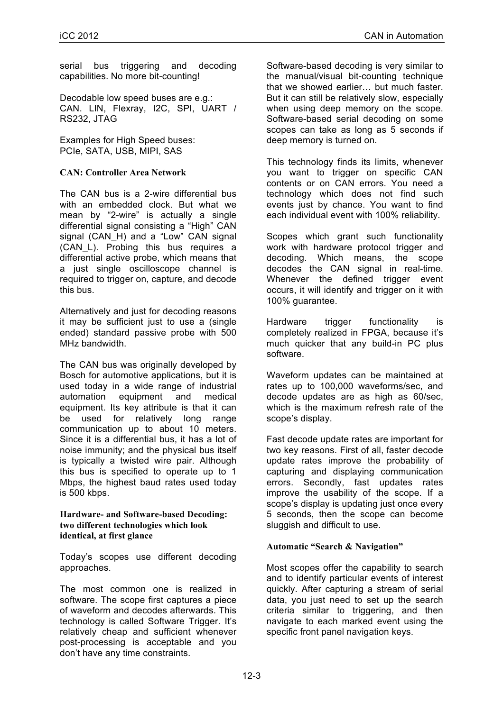serial bus triggering and decoding capabilities. No more bit-counting!

Decodable low speed buses are e.g.: CAN. LIN, Flexray, I2C, SPI, UART / RS232, JTAG

Examples for High Speed buses: PCIe, SATA, USB, MIPI, SAS

## **CAN: Controller Area Network**

The CAN bus is a 2-wire differential bus with an embedded clock. But what we mean by "2-wire" is actually a single differential signal consisting a "High" CAN signal (CAN H) and a "Low" CAN signal (CAN\_L). Probing this bus requires a differential active probe, which means that a just single oscilloscope channel is required to trigger on, capture, and decode this bus.

Alternatively and just for decoding reasons it may be sufficient just to use a (single ended) standard passive probe with 500 MHz bandwidth.

The CAN bus was originally developed by Bosch for automotive applications, but it is used today in a wide range of industrial automation equipment and medical equipment. Its key attribute is that it can be used for relatively long range communication up to about 10 meters. Since it is a differential bus, it has a lot of noise immunity; and the physical bus itself is typically a twisted wire pair. Although this bus is specified to operate up to 1 Mbps, the highest baud rates used today is 500 kbps.

#### **Hardware- and Software-based Decoding: two different technologies which look identical, at first glance**

Today's scopes use different decoding approaches.

The most common one is realized in software. The scope first captures a piece of waveform and decodes afterwards. This technology is called Software Trigger. It's relatively cheap and sufficient whenever post-processing is acceptable and you don't have any time constraints.

Software-based decoding is very similar to the manual/visual bit-counting technique that we showed earlier… but much faster. But it can still be relatively slow, especially when using deep memory on the scope. Software-based serial decoding on some scopes can take as long as 5 seconds if deep memory is turned on.

This technology finds its limits, whenever you want to trigger on specific CAN contents or on CAN errors. You need a technology which does not find such events just by chance. You want to find each individual event with 100% reliability.

Scopes which grant such functionality work with hardware protocol trigger and decoding. Which means, the scope decodes the CAN signal in real-time. Whenever the defined trigger event occurs, it will identify and trigger on it with 100% guarantee.

Hardware trigger functionality is completely realized in FPGA, because it's much quicker that any build-in PC plus software.

Waveform updates can be maintained at rates up to 100,000 waveforms/sec, and decode updates are as high as 60/sec, which is the maximum refresh rate of the scope's display.

Fast decode update rates are important for two key reasons. First of all, faster decode update rates improve the probability of capturing and displaying communication errors. Secondly, fast updates rates improve the usability of the scope. If a scope's display is updating just once every 5 seconds, then the scope can become sluggish and difficult to use.

#### **Automatic "Search & Navigation"**

Most scopes offer the capability to search and to identify particular events of interest quickly. After capturing a stream of serial data, you just need to set up the search criteria similar to triggering, and then navigate to each marked event using the specific front panel navigation keys.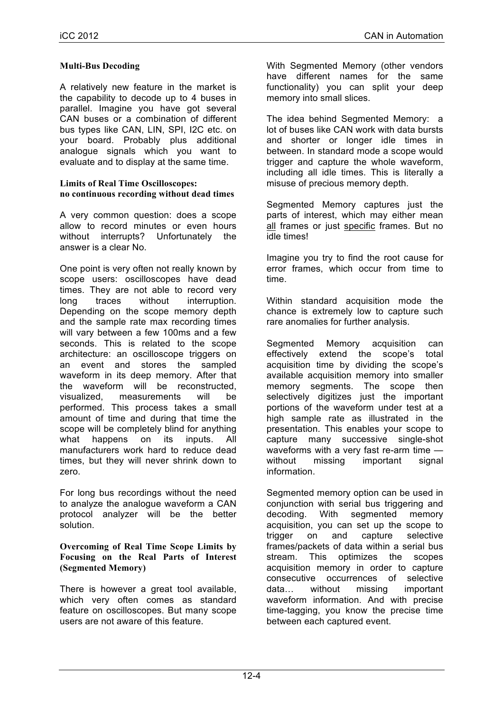## **Multi-Bus Decoding**

A relatively new feature in the market is the capability to decode up to 4 buses in parallel. Imagine you have got several CAN buses or a combination of different bus types like CAN, LIN, SPI, I2C etc. on your board. Probably plus additional analogue signals which you want to evaluate and to display at the same time.

#### **Limits of Real Time Oscilloscopes: no continuous recording without dead times**

A very common question: does a scope allow to record minutes or even hours without interrupts? Unfortunately the answer is a clear No.

One point is very often not really known by scope users: oscilloscopes have dead times. They are not able to record very long traces without interruption. Depending on the scope memory depth and the sample rate max recording times will vary between a few 100ms and a few seconds. This is related to the scope architecture: an oscilloscope triggers on an event and stores the sampled waveform in its deep memory. After that the waveform will be reconstructed, visualized, measurements will be performed. This process takes a small amount of time and during that time the scope will be completely blind for anything what happens on its inputs. All manufacturers work hard to reduce dead times, but they will never shrink down to zero.

For long bus recordings without the need to analyze the analogue waveform a CAN protocol analyzer will be the better solution.

**Overcoming of Real Time Scope Limits by Focusing on the Real Parts of Interest (Segmented Memory)**

There is however a great tool available. which very often comes as standard feature on oscilloscopes. But many scope users are not aware of this feature.

With Segmented Memory (other vendors have different names for the same functionality) you can split your deep memory into small slices.

The idea behind Segmented Memory: a lot of buses like CAN work with data bursts and shorter or longer idle times in between. In standard mode a scope would trigger and capture the whole waveform, including all idle times. This is literally a misuse of precious memory depth.

Segmented Memory captures just the parts of interest, which may either mean all frames or just specific frames. But no idle times!

Imagine you try to find the root cause for error frames, which occur from time to time.

Within standard acquisition mode the chance is extremely low to capture such rare anomalies for further analysis.

Segmented Memory acquisition can effectively extend the scope's total acquisition time by dividing the scope's available acquisition memory into smaller memory segments. The scope then selectively digitizes just the important portions of the waveform under test at a high sample rate as illustrated in the presentation. This enables your scope to capture many successive single-shot waveforms with a very fast re-arm time without missing important signal information.

Segmented memory option can be used in conjunction with serial bus triggering and decoding. With segmented memory acquisition, you can set up the scope to trigger on and capture selective frames/packets of data within a serial bus stream. This optimizes the scopes acquisition memory in order to capture consecutive occurrences of selective data… without missing important waveform information. And with precise time-tagging, you know the precise time between each captured event.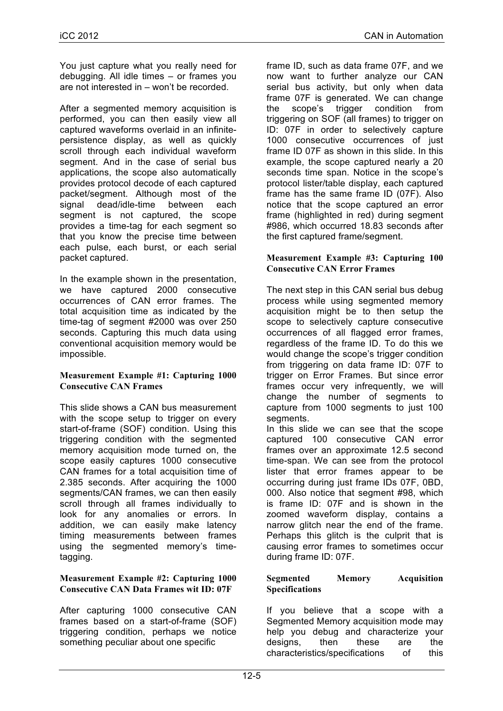You just capture what you really need for debugging. All idle times – or frames you are not interested in – won't be recorded.

After a segmented memory acquisition is performed, you can then easily view all captured waveforms overlaid in an infinitepersistence display, as well as quickly scroll through each individual waveform segment. And in the case of serial bus applications, the scope also automatically provides protocol decode of each captured packet/segment. Although most of the signal dead/idle-time between each segment is not captured, the scope provides a time-tag for each segment so that you know the precise time between each pulse, each burst, or each serial packet captured.

In the example shown in the presentation, we have captured 2000 consecutive occurrences of CAN error frames. The total acquisition time as indicated by the time-tag of segment #2000 was over 250 seconds. Capturing this much data using conventional acquisition memory would be impossible.

#### **Measurement Example #1: Capturing 1000 Consecutive CAN Frames**

This slide shows a CAN bus measurement with the scope setup to trigger on every start-of-frame (SOF) condition. Using this triggering condition with the segmented memory acquisition mode turned on, the scope easily captures 1000 consecutive CAN frames for a total acquisition time of 2.385 seconds. After acquiring the 1000 segments/CAN frames, we can then easily scroll through all frames individually to look for any anomalies or errors. In addition, we can easily make latency timing measurements between frames using the segmented memory's timetagging.

#### **Measurement Example #2: Capturing 1000 Consecutive CAN Data Frames wit ID: 07F**

After capturing 1000 consecutive CAN frames based on a start-of-frame (SOF) triggering condition, perhaps we notice something peculiar about one specific

frame ID, such as data frame 07F, and we now want to further analyze our CAN serial bus activity, but only when data frame 07F is generated. We can change the scope's trigger condition from triggering on SOF (all frames) to trigger on ID: 07F in order to selectively capture 1000 consecutive occurrences of just frame ID 07F as shown in this slide. In this example, the scope captured nearly a 20 seconds time span. Notice in the scope's protocol lister/table display, each captured frame has the same frame ID (07F). Also notice that the scope captured an error frame (highlighted in red) during segment #986, which occurred 18.83 seconds after the first captured frame/segment.

## **Measurement Example #3: Capturing 100 Consecutive CAN Error Frames**

The next step in this CAN serial bus debug process while using segmented memory acquisition might be to then setup the scope to selectively capture consecutive occurrences of all flagged error frames, regardless of the frame ID. To do this we would change the scope's trigger condition from triggering on data frame ID: 07F to trigger on Error Frames. But since error frames occur very infrequently, we will change the number of segments to capture from 1000 segments to just 100 segments.

In this slide we can see that the scope captured 100 consecutive CAN error frames over an approximate 12.5 second time-span. We can see from the protocol lister that error frames appear to be occurring during just frame IDs 07F, 0BD, 000. Also notice that segment #98, which is frame ID: 07F and is shown in the zoomed waveform display, contains a narrow glitch near the end of the frame. Perhaps this glitch is the culprit that is causing error frames to sometimes occur during frame ID: 07F.

#### **Segmented Memory Acquisition Specifications**

If you believe that a scope with a Segmented Memory acquisition mode may help you debug and characterize your designs, then these are the characteristics/specifications of this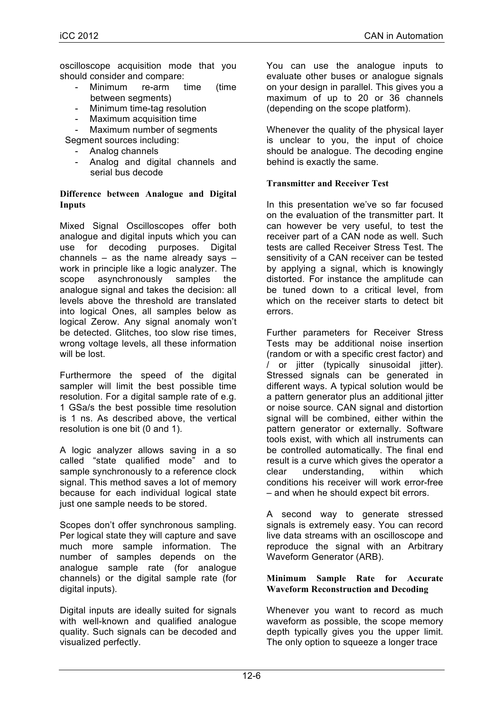oscilloscope acquisition mode that you should consider and compare:

- Minimum re-arm time (time between segments)
- Minimum time-tag resolution
- Maximum acquisition time
- Maximum number of segments

Segment sources including:

- Analog channels
- Analog and digital channels and serial bus decode

#### **Difference between Analogue and Digital Inputs**

Mixed Signal Oscilloscopes offer both analogue and digital inputs which you can use for decoding purposes. Digital channels  $-$  as the name already says  $$ work in principle like a logic analyzer. The scope asynchronously samples the analogue signal and takes the decision: all levels above the threshold are translated into logical Ones, all samples below as logical Zerow. Any signal anomaly won't be detected. Glitches, too slow rise times, wrong voltage levels, all these information will be lost.

Furthermore the speed of the digital sampler will limit the best possible time resolution. For a digital sample rate of e.g. 1 GSa/s the best possible time resolution is 1 ns. As described above, the vertical resolution is one bit (0 and 1).

A logic analyzer allows saving in a so called "state qualified mode" and to sample synchronously to a reference clock signal. This method saves a lot of memory because for each individual logical state just one sample needs to be stored.

Scopes don't offer synchronous sampling. Per logical state they will capture and save much more sample information. The number of samples depends on the analogue sample rate (for analogue channels) or the digital sample rate (for digital inputs).

Digital inputs are ideally suited for signals with well-known and qualified analogue quality. Such signals can be decoded and visualized perfectly.

You can use the analogue inputs to evaluate other buses or analogue signals on your design in parallel. This gives you a maximum of up to 20 or 36 channels (depending on the scope platform).

Whenever the quality of the physical layer is unclear to you, the input of choice should be analogue. The decoding engine behind is exactly the same.

## **Transmitter and Receiver Test**

In this presentation we've so far focused on the evaluation of the transmitter part. It can however be very useful, to test the receiver part of a CAN node as well. Such tests are called Receiver Stress Test. The sensitivity of a CAN receiver can be tested by applying a signal, which is knowingly distorted. For instance the amplitude can be tuned down to a critical level, from which on the receiver starts to detect bit errors.

Further parameters for Receiver Stress Tests may be additional noise insertion (random or with a specific crest factor) and / or jitter (typically sinusoidal jitter). Stressed signals can be generated in different ways. A typical solution would be a pattern generator plus an additional jitter or noise source. CAN signal and distortion signal will be combined, either within the pattern generator or externally. Software tools exist, with which all instruments can be controlled automatically. The final end result is a curve which gives the operator a clear understanding, within which conditions his receiver will work error-free – and when he should expect bit errors.

A second way to generate stressed signals is extremely easy. You can record live data streams with an oscilloscope and reproduce the signal with an Arbitrary Waveform Generator (ARB).

#### **Minimum Sample Rate for Accurate Waveform Reconstruction and Decoding**

Whenever you want to record as much waveform as possible, the scope memory depth typically gives you the upper limit. The only option to squeeze a longer trace